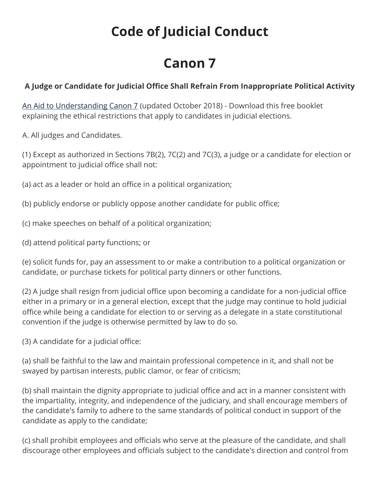# **Code of Judicial Conduct**

## **Canon 7**

## **A Judge or Candidate for Judicial Office Shall Refrain From Inappropriate Political Activity**

[An Aid to Understanding Canon 7](https://www.flcourts.org/content/download/218065/1974336/canon7.pdf) (updated October 2018) - Download this free booklet explaining the ethical restrictions that apply to candidates in judicial elections.

A. All judges and Candidates.

(1) Except as authorized in Sections 7B(2), 7C(2) and 7C(3), a judge or a candidate for election or appointment to judicial office shall not:

- (a) act as a leader or hold an office in a political organization;
- (b) publicly endorse or publicly oppose another candidate for public office;
- (c) make speeches on behalf of a political organization;
- (d) attend political party functions; or

(e) solicit funds for, pay an assessment to or make a contribution to a political organization or candidate, or purchase tickets for political party dinners or other functions.

(2) A judge shall resign from judicial office upon becoming a candidate for a non-judicial office either in a primary or in a general election, except that the judge may continue to hold judicial office while being a candidate for election to or serving as a delegate in a state constitutional convention if the judge is otherwise permitted by law to do so.

(3) A candidate for a judicial office:

(a) shall be faithful to the law and maintain professional competence in it, and shall not be swayed by partisan interests, public clamor, or fear of criticism;

(b) shall maintain the dignity appropriate to judicial office and act in a manner consistent with the impartiality, integrity, and independence of the judiciary, and shall encourage members of the candidate's family to adhere to the same standards of political conduct in support of the candidate as apply to the candidate;

(c) shall prohibit employees and officials who serve at the pleasure of the candidate, and shall discourage other employees and officials subject to the candidate's direction and control from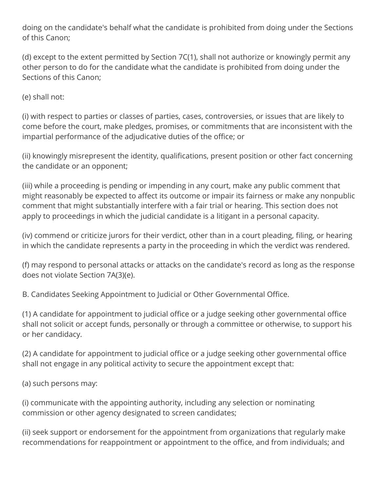doing on the candidate's behalf what the candidate is prohibited from doing under the Sections of this Canon;

(d) except to the extent permitted by Section 7C(1), shall not authorize or knowingly permit any other person to do for the candidate what the candidate is prohibited from doing under the Sections of this Canon;

(e) shall not:

(i) with respect to parties or classes of parties, cases, controversies, or issues that are likely to come before the court, make pledges, promises, or commitments that are inconsistent with the impartial performance of the adjudicative duties of the office; or

(ii) knowingly misrepresent the identity, qualifications, present position or other fact concerning the candidate or an opponent;

(iii) while a proceeding is pending or impending in any court, make any public comment that might reasonably be expected to affect its outcome or impair its fairness or make any nonpublic comment that might substantially interfere with a fair trial or hearing. This section does not apply to proceedings in which the judicial candidate is a litigant in a personal capacity.

(iv) commend or criticize jurors for their verdict, other than in a court pleading, filing, or hearing in which the candidate represents a party in the proceeding in which the verdict was rendered.

(f) may respond to personal attacks or attacks on the candidate's record as long as the response does not violate Section 7A(3)(e).

B. Candidates Seeking Appointment to Judicial or Other Governmental Office.

(1) A candidate for appointment to judicial office or a judge seeking other governmental office shall not solicit or accept funds, personally or through a committee or otherwise, to support his or her candidacy.

(2) A candidate for appointment to judicial office or a judge seeking other governmental office shall not engage in any political activity to secure the appointment except that:

(a) such persons may:

(i) communicate with the appointing authority, including any selection or nominating commission or other agency designated to screen candidates;

(ii) seek support or endorsement for the appointment from organizations that regularly make recommendations for reappointment or appointment to the office, and from individuals; and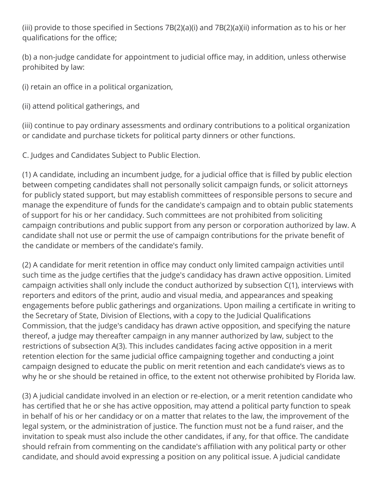(iii) provide to those specified in Sections 7B(2)(a)(i) and 7B(2)(a)(ii) information as to his or her qualifications for the office;

(b) a non-judge candidate for appointment to judicial office may, in addition, unless otherwise prohibited by law:

(i) retain an office in a political organization,

(ii) attend political gatherings, and

(iii) continue to pay ordinary assessments and ordinary contributions to a political organization or candidate and purchase tickets for political party dinners or other functions.

C. Judges and Candidates Subject to Public Election.

(1) A candidate, including an incumbent judge, for a judicial office that is filled by public election between competing candidates shall not personally solicit campaign funds, or solicit attorneys for publicly stated support, but may establish committees of responsible persons to secure and manage the expenditure of funds for the candidate's campaign and to obtain public statements of support for his or her candidacy. Such committees are not prohibited from soliciting campaign contributions and public support from any person or corporation authorized by law. A candidate shall not use or permit the use of campaign contributions for the private benefit of the candidate or members of the candidate's family.

(2) A candidate for merit retention in office may conduct only limited campaign activities until such time as the judge certifies that the judge's candidacy has drawn active opposition. Limited campaign activities shall only include the conduct authorized by subsection C(1), interviews with reporters and editors of the print, audio and visual media, and appearances and speaking engagements before public gatherings and organizations. Upon mailing a certificate in writing to the Secretary of State, Division of Elections, with a copy to the Judicial Qualifications Commission, that the judge's candidacy has drawn active opposition, and specifying the nature thereof, a judge may thereafter campaign in any manner authorized by law, subject to the restrictions of subsection A(3). This includes candidates facing active opposition in a merit retention election for the same judicial office campaigning together and conducting a joint campaign designed to educate the public on merit retention and each candidate's views as to why he or she should be retained in office, to the extent not otherwise prohibited by Florida law.

(3) A judicial candidate involved in an election or re-election, or a merit retention candidate who has certified that he or she has active opposition, may attend a political party function to speak in behalf of his or her candidacy or on a matter that relates to the law, the improvement of the legal system, or the administration of justice. The function must not be a fund raiser, and the invitation to speak must also include the other candidates, if any, for that office. The candidate should refrain from commenting on the candidate's affiliation with any political party or other candidate, and should avoid expressing a position on any political issue. A judicial candidate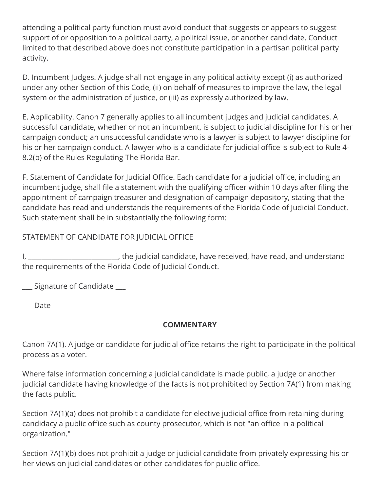attending a political party function must avoid conduct that suggests or appears to suggest support of or opposition to a political party, a political issue, or another candidate. Conduct limited to that described above does not constitute participation in a partisan political party activity.

D. Incumbent Judges. A judge shall not engage in any political activity except (i) as authorized under any other Section of this Code, (ii) on behalf of measures to improve the law, the legal system or the administration of justice, or (iii) as expressly authorized by law.

E. Applicability. Canon 7 generally applies to all incumbent judges and judicial candidates. A successful candidate, whether or not an incumbent, is subject to judicial discipline for his or her campaign conduct; an unsuccessful candidate who is a lawyer is subject to lawyer discipline for his or her campaign conduct. A lawyer who is a candidate for judicial office is subject to Rule 4- 8.2(b) of the Rules Regulating The Florida Bar.

F. Statement of Candidate for Judicial Office. Each candidate for a judicial office, including an incumbent judge, shall file a statement with the qualifying officer within 10 days after filing the appointment of campaign treasurer and designation of campaign depository, stating that the candidate has read and understands the requirements of the Florida Code of Judicial Conduct. Such statement shall be in substantially the following form:

#### STATEMENT OF CANDIDATE FOR JUDICIAL OFFICE

I, the judicial candidate, have received, have read, and understand the requirements of the Florida Code of Judicial Conduct.

\_\_\_ Signature of Candidate \_\_\_

 $\Box$  Date  $\Box$ 

### **COMMENTARY**

Canon 7A(1). A judge or candidate for judicial office retains the right to participate in the political process as a voter.

Where false information concerning a judicial candidate is made public, a judge or another judicial candidate having knowledge of the facts is not prohibited by Section 7A(1) from making the facts public.

Section 7A(1)(a) does not prohibit a candidate for elective judicial office from retaining during candidacy a public office such as county prosecutor, which is not "an office in a political organization."

Section 7A(1)(b) does not prohibit a judge or judicial candidate from privately expressing his or her views on judicial candidates or other candidates for public office.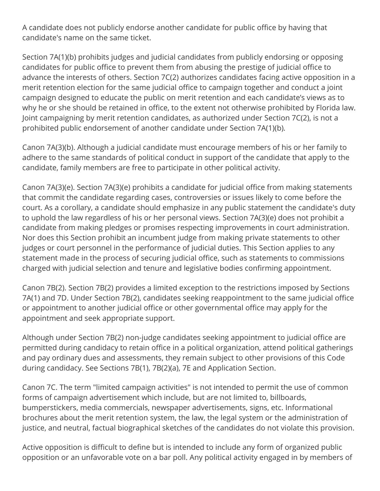A candidate does not publicly endorse another candidate for public office by having that candidate's name on the same ticket.

Section 7A(1)(b) prohibits judges and judicial candidates from publicly endorsing or opposing candidates for public office to prevent them from abusing the prestige of judicial office to advance the interests of others. Section 7C(2) authorizes candidates facing active opposition in a merit retention election for the same judicial office to campaign together and conduct a joint campaign designed to educate the public on merit retention and each candidate's views as to why he or she should be retained in office, to the extent not otherwise prohibited by Florida law. Joint campaigning by merit retention candidates, as authorized under Section 7C(2), is not a prohibited public endorsement of another candidate under Section 7A(1)(b)*.*

Canon 7A(3)(b). Although a judicial candidate must encourage members of his or her family to adhere to the same standards of political conduct in support of the candidate that apply to the candidate, family members are free to participate in other political activity.

Canon 7A(3)(e). Section 7A(3)(e) prohibits a candidate for judicial office from making statements that commit the candidate regarding cases, controversies or issues likely to come before the court. As a corollary, a candidate should emphasize in any public statement the candidate's duty to uphold the law regardless of his or her personal views. Section 7A(3)(e) does not prohibit a candidate from making pledges or promises respecting improvements in court administration. Nor does this Section prohibit an incumbent judge from making private statements to other judges or court personnel in the performance of judicial duties. This Section applies to any statement made in the process of securing judicial office, such as statements to commissions charged with judicial selection and tenure and legislative bodies confirming appointment.

Canon 7B(2). Section 7B(2) provides a limited exception to the restrictions imposed by Sections 7A(1) and 7D. Under Section 7B(2), candidates seeking reappointment to the same judicial office or appointment to another judicial office or other governmental office may apply for the appointment and seek appropriate support.

Although under Section 7B(2) non-judge candidates seeking appointment to judicial office are permitted during candidacy to retain office in a political organization, attend political gatherings and pay ordinary dues and assessments, they remain subject to other provisions of this Code during candidacy. See Sections 7B(1), 7B(2)(a), 7E and Application Section.

Canon 7C. The term "limited campaign activities" is not intended to permit the use of common forms of campaign advertisement which include, but are not limited to, billboards, bumperstickers, media commercials, newspaper advertisements, signs, etc. Informational brochures about the merit retention system, the law, the legal system or the administration of justice, and neutral, factual biographical sketches of the candidates do not violate this provision.

Active opposition is difficult to define but is intended to include any form of organized public opposition or an unfavorable vote on a bar poll. Any political activity engaged in by members of